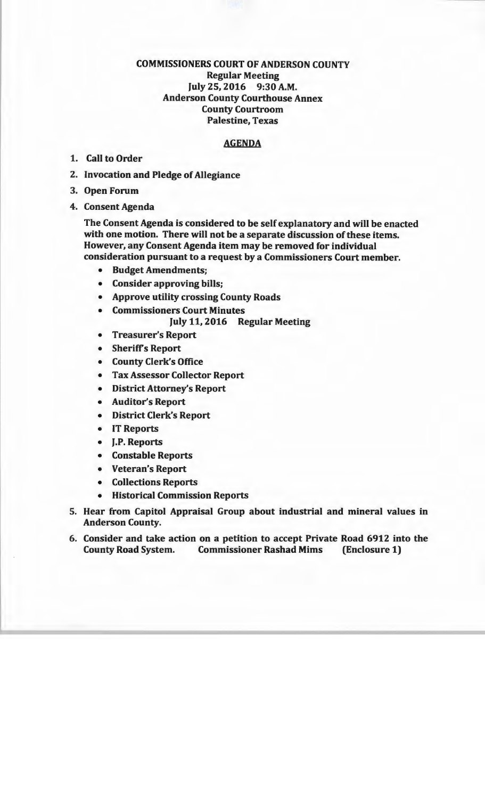## COMMISSIONERS COURT OF ANDERSON COUNTY Regular Meeting July 25, 2016 9:30 A.M. Anderson County Courthouse Annex County Courtroom Palestine, Texas

## AGENDA

- 1. Call to Order
- 2. Invocation and Pledge of Allegiance
- 3. Open Forum
- 4. Consent Agenda

The Consent Agenda is considered to be self explanatory and will be enacted with one motion. There will not be a separate discussion of these items. However, any Consent Agenda item may be removed for individual consideration pursuant to a request by a Commissioners Court member.

- Budget Amendments;
- Consider approving bills;
- Approve utility crossing County Roads
- Commissioners Court Minutes July 11, 2016 Regular Meeting
- Treasurer's Report
- Sheriffs Report
- County Clerk's Office
- Tax Assessor Collector Report
- District Attorney's Report
- Auditor's Report
- District Clerk's Report
- IT Reports
- J.P. Reports
- Constable Reports
- Veteran's Report
- Collections Reports
- Historical Commission Reports
- 5. Hear from Capitol Appraisal Group about industrial and mineral values in Anderson County.
- 6. Consider and take action on a petition to accept Private Road 6912 into the County Road System. Commissioner Rashad Mims (Enclosure 1)